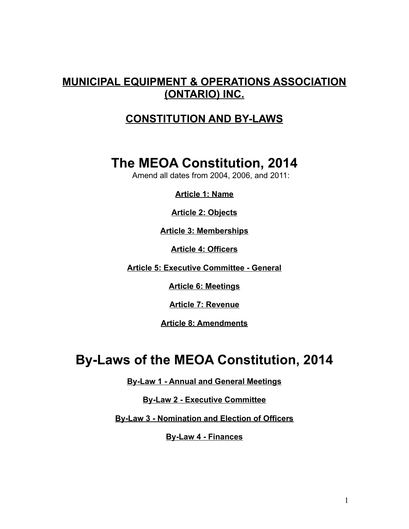# **MUNICIPAL EQUIPMENT & OPERATIONS ASSOCIATION (ONTARIO) INC.**

# **CONSTITUTION AND BY-LAWS**

# **The MEOA Constitution, 2014**

Amend all dates from 2004, 2006, and 2011:

**Article 1: Name**

**Article 2: Objects**

**Article 3: Memberships**

**Article 4: Officers**

**Article 5: Executive Committee - General**

**Article 6: Meetings**

**Article 7: Revenue**

**Article 8: Amendments**

# **By-Laws of the MEOA Constitution, 2014**

**By-Law 1 - Annual and General Meetings**

**By-Law 2 - Executive Committee**

**By-Law 3 - Nomination and Election of Officers**

**By-Law 4 - Finances**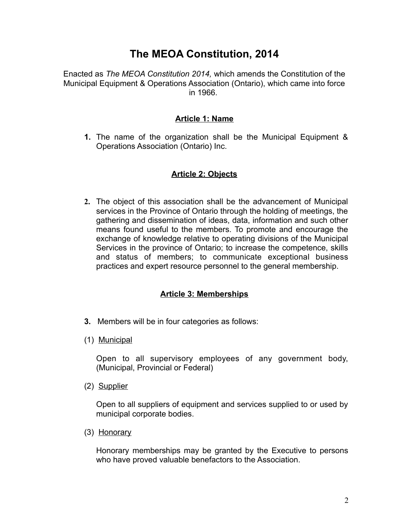# **The MEOA Constitution, 2014**

Enacted as *The MEOA Constitution 2014,* which amends the Constitution of the Municipal Equipment & Operations Association (Ontario), which came into force in 1966.

## **Article 1: Name**

**1.** The name of the organization shall be the Municipal Equipment & Operations Association (Ontario) Inc.

# **Article 2: Objects**

**2.** The object of this association shall be the advancement of Municipal services in the Province of Ontario through the holding of meetings, the gathering and dissemination of ideas, data, information and such other means found useful to the members. To promote and encourage the exchange of knowledge relative to operating divisions of the Municipal Services in the province of Ontario; to increase the competence, skills and status of members; to communicate exceptional business practices and expert resource personnel to the general membership.

#### **Article 3: Memberships**

- **3.** Members will be in four categories as follows:
- (1) Municipal

Open to all supervisory employees of any government body, (Municipal, Provincial or Federal)

(2) Supplier

Open to all suppliers of equipment and services supplied to or used by municipal corporate bodies.

(3) Honorary

Honorary memberships may be granted by the Executive to persons who have proved valuable benefactors to the Association.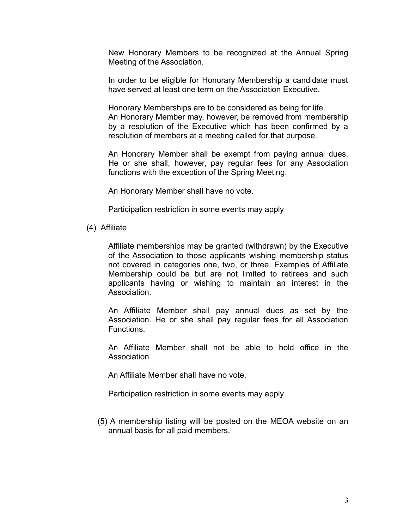New Honorary Members to be recognized at the Annual Spring Meeting of the Association.

In order to be eligible for Honorary Membership a candidate must have served at least one term on the Association Executive.

Honorary Memberships are to be considered as being for life. An Honorary Member may, however, be removed from membership by a resolution of the Executive which has been confirmed by a resolution of members at a meeting called for that purpose.

An Honorary Member shall be exempt from paying annual dues. He or she shall, however, pay regular fees for any Association functions with the exception of the Spring Meeting.

An Honorary Member shall have no vote.

Participation restriction in some events may apply

(4) Affiliate

Affiliate memberships may be granted (withdrawn) by the Executive of the Association to those applicants wishing membership status not covered in categories one, two, or three. Examples of Affiliate Membership could be but are not limited to retirees and such applicants having or wishing to maintain an interest in the Association.

An Affiliate Member shall pay annual dues as set by the Association. He or she shall pay regular fees for all Association Functions.

An Affiliate Member shall not be able to hold office in the **Association** 

An Affiliate Member shall have no vote.

Participation restriction in some events may apply

 (5) A membership listing will be posted on the MEOA website on an annual basis for all paid members.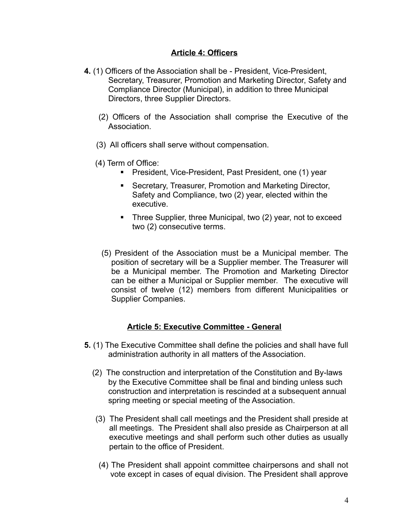## **Article 4: Officers**

- **4.** (1) Officers of the Association shall be President, Vice-President, Secretary, Treasurer, Promotion and Marketing Director, Safety and Compliance Director (Municipal), in addition to three Municipal Directors, three Supplier Directors.
	- (2) Officers of the Association shall comprise the Executive of the Association.
	- (3) All officers shall serve without compensation.
	- (4) Term of Office:
		- **President, Vice-President, Past President, one (1) year**
		- **Secretary, Treasurer, Promotion and Marketing Director,** Safety and Compliance, two (2) year, elected within the executive.
		- **Three Supplier, three Municipal, two (2) year, not to exceed** two (2) consecutive terms.
		- (5) President of the Association must be a Municipal member. The position of secretary will be a Supplier member. The Treasurer will be a Municipal member. The Promotion and Marketing Director can be either a Municipal or Supplier member. The executive will consist of twelve (12) members from different Municipalities or Supplier Companies.

# **Article 5: Executive Committee - General**

- **5.** (1) The Executive Committee shall define the policies and shall have full administration authority in all matters of the Association.
	- (2) The construction and interpretation of the Constitution and By-laws by the Executive Committee shall be final and binding unless such construction and interpretation is rescinded at a subsequent annual spring meeting or special meeting of the Association.
	- (3) The President shall call meetings and the President shall preside at all meetings. The President shall also preside as Chairperson at all executive meetings and shall perform such other duties as usually pertain to the office of President.
	- (4) The President shall appoint committee chairpersons and shall not vote except in cases of equal division. The President shall approve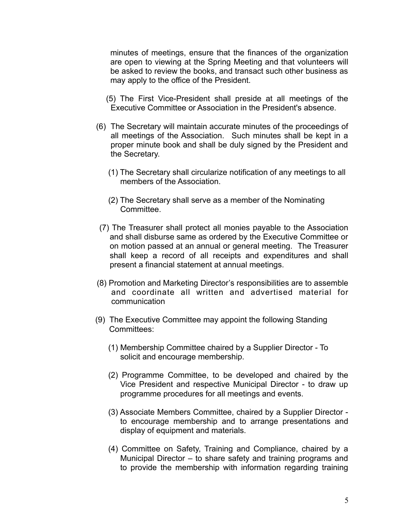minutes of meetings, ensure that the finances of the organization are open to viewing at the Spring Meeting and that volunteers will be asked to review the books, and transact such other business as may apply to the office of the President.

- (5) The First Vice-President shall preside at all meetings of the Executive Committee or Association in the President's absence.
- (6) The Secretary will maintain accurate minutes of the proceedings of all meetings of the Association. Such minutes shall be kept in a proper minute book and shall be duly signed by the President and the Secretary.
	- (1) The Secretary shall circularize notification of any meetings to all members of the Association.
	- (2) The Secretary shall serve as a member of the Nominating **Committee.**
- (7) The Treasurer shall protect all monies payable to the Association and shall disburse same as ordered by the Executive Committee or on motion passed at an annual or general meeting. The Treasurer shall keep a record of all receipts and expenditures and shall present a financial statement at annual meetings.
- (8) Promotion and Marketing Director's responsibilities are to assemble and coordinate all written and advertised material for communication
- (9) The Executive Committee may appoint the following Standing Committees:
	- (1) Membership Committee chaired by a Supplier Director To solicit and encourage membership.
	- (2) Programme Committee, to be developed and chaired by the Vice President and respective Municipal Director - to draw up programme procedures for all meetings and events.
	- (3) Associate Members Committee, chaired by a Supplier Director to encourage membership and to arrange presentations and display of equipment and materials.
	- (4) Committee on Safety, Training and Compliance, chaired by a Municipal Director – to share safety and training programs and to provide the membership with information regarding training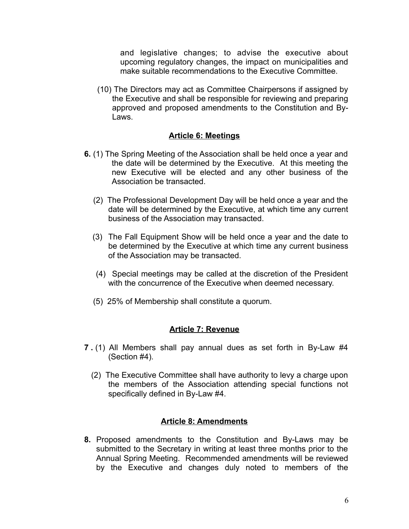and legislative changes; to advise the executive about upcoming regulatory changes, the impact on municipalities and make suitable recommendations to the Executive Committee.

 (10) The Directors may act as Committee Chairpersons if assigned by the Executive and shall be responsible for reviewing and preparing approved and proposed amendments to the Constitution and By-Laws.

#### **Article 6: Meetings**

- **6.** (1) The Spring Meeting of the Association shall be held once a year and the date will be determined by the Executive. At this meeting the new Executive will be elected and any other business of the Association be transacted.
	- (2) The Professional Development Day will be held once a year and the date will be determined by the Executive, at which time any current business of the Association may transacted.
	- (3) The Fall Equipment Show will be held once a year and the date to be determined by the Executive at which time any current business of the Association may be transacted.
	- (4) Special meetings may be called at the discretion of the President with the concurrence of the Executive when deemed necessary.
	- (5) 25% of Membership shall constitute a quorum.

#### **Article 7: Revenue**

- **7 .** (1) All Members shall pay annual dues as set forth in By-Law #4 (Section #4).
	- (2) The Executive Committee shall have authority to levy a charge upon the members of the Association attending special functions not specifically defined in By-Law #4.

#### **Article 8: Amendments**

**8.** Proposed amendments to the Constitution and By-Laws may be submitted to the Secretary in writing at least three months prior to the Annual Spring Meeting. Recommended amendments will be reviewed by the Executive and changes duly noted to members of the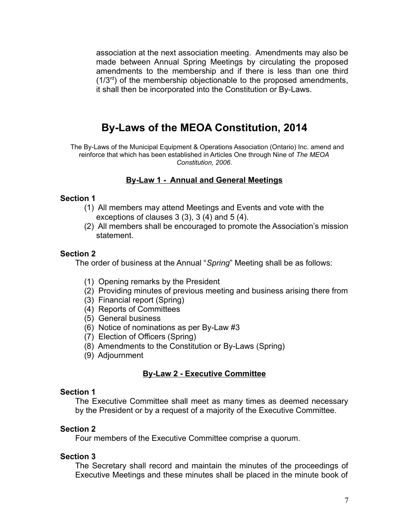association at the next association meeting. Amendments may also be made between Annual Spring Meetings by circulating the proposed amendments to the membership and if there is less than one third  $(1/3<sup>rd</sup>)$  of the membership objectionable to the proposed amendments, it shall then be incorporated into the Constitution or By-Laws.

# **By-Laws of the MEOA Constitution, 2014**

The By-Laws of the Municipal Equipment & Operations Association (Ontario) Inc. amend and reinforce that which has been established in Articles One through Nine of *The MEOA Constitution, 2006*.

# **By-Law 1 - Annual and General Meetings**

#### **Section 1**

- (1) All members may attend Meetings and Events and vote with the exceptions of clauses 3 (3), 3 (4) and 5 (4).
- (2) All members shall be encouraged to promote the Association's mission statement.

## **Section 2**

The order of business at the Annual "*Spring*" Meeting shall be as follows:

- (1) Opening remarks by the President
- (2) Providing minutes of previous meeting and business arising there from
- (3) Financial report (Spring)
- (4) Reports of Committees
- (5) General business
- (6) Notice of nominations as per By-Law #3
- (7) Election of Officers (Spring)
- (8) Amendments to the Constitution or By-Laws (Spring)
- (9) Adjournment

#### **By-Law 2 - Executive Committee**

#### **Section 1**

The Executive Committee shall meet as many times as deemed necessary by the President or by a request of a majority of the Executive Committee.

#### **Section 2**

Four members of the Executive Committee comprise a quorum.

#### **Section 3**

The Secretary shall record and maintain the minutes of the proceedings of Executive Meetings and these minutes shall be placed in the minute book of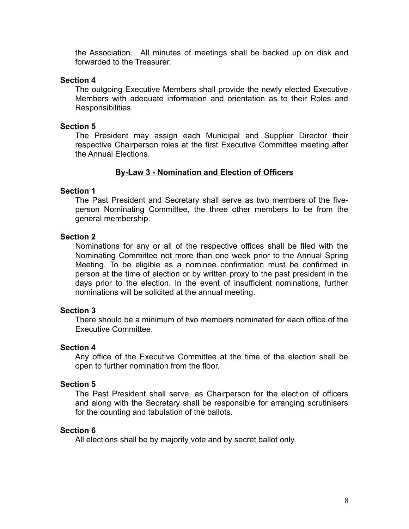the Association. All minutes of meetings shall be backed up on disk and forwarded to the Treasurer.

#### **Section 4**

The outgoing Executive Members shall provide the newly elected Executive Members with adequate information and orientation as to their Roles and Responsibilities.

#### **Section 5**

The President may assign each Municipal and Supplier Director their respective Chairperson roles at the first Executive Committee meeting after the Annual Elections.

## **By-Law 3 - Nomination and Election of Officers**

#### **Section 1**

The Past President and Secretary shall serve as two members of the fiveperson Nominating Committee, the three other members to be from the general membership.

#### **Section 2**

Nominations for any or all of the respective offices shall be filed with the Nominating Committee not more than one week prior to the Annual Spring Meeting. To be eligible as a nominee confirmation must be confirmed in person at the time of election or by written proxy to the past president in the days prior to the election. In the event of insufficient nominations, further nominations will be solicited at the annual meeting.

#### **Section 3**

There should be a minimum of two members nominated for each office of the Executive Committee.

#### **Section 4**

Any office of the Executive Committee at the time of the election shall be open to further nomination from the floor.

#### **Section 5**

The Past President shall serve, as Chairperson for the election of officers and along with the Secretary shall be responsible for arranging scrutinisers for the counting and tabulation of the ballots.

#### **Section 6**

All elections shall be by majority vote and by secret ballot only.